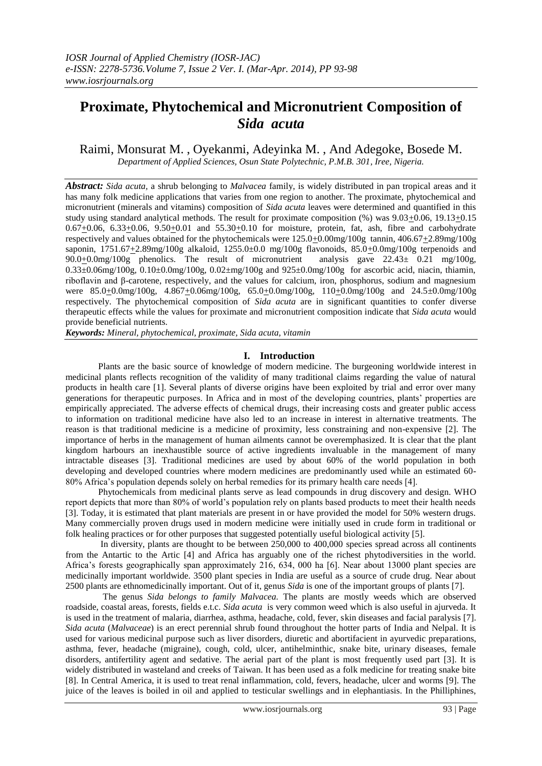# **Proximate, Phytochemical and Micronutrient Composition of**  *Sida acuta*

Raimi, Monsurat M. , Oyekanmi, Adeyinka M. , And Adegoke, Bosede M. *Department of Applied Sciences, Osun State Polytechnic, P.M.B. 301, Iree, Nigeria.*

*Abstract: Sida acuta,* a shrub belonging to *Malvacea* family, is widely distributed in pan tropical areas and it has many folk medicine applications that varies from one region to another. The proximate, phytochemical and micronutrient (minerals and vitamins) composition of *Sida acuta* leaves were determined and quantified in this study using standard analytical methods. The result for proximate composition (%) was 9.03+0.06, 19.13+0.15  $0.67\pm0.06$ ,  $6.33\pm0.06$ ,  $9.50\pm0.01$  and  $55.30\pm0.10$  for moisture, protein, fat, ash, fibre and carbohydrate respectively and values obtained for the phytochemicals were  $125.0 \pm 0.00$  mg/100g tannin,  $406.67 \pm 2.89$  mg/100g saponin,  $1751.67 \pm 2.89$ mg/100g alkaloid,  $1255.0 \pm 0.0$  mg/100g flavonoids,  $85.0 \pm 0.0$ mg/100g terpenoids and  $90.0 \pm 0.0$ mg/100g phenolics. The result of micronutrient analysis gave  $22.43 \pm 0.21$  mg/100g,  $90.0+0.0$ mg/100g phenolics. The result of micronutrient  $0.33\pm0.06$ mg/100g,  $0.10\pm0.0$ mg/100g,  $0.02\pm$ mg/100g and 925 $\pm0.0$ mg/100g for ascorbic acid, niacin, thiamin, riboflavin and β-carotene, respectively, and the values for calcium, iron, phosphorus, sodium and magnesium were 85.0 $\pm$ 0.0mg/100g, 4.867 $\pm$ 0.06mg/100g, 65.0 $\pm$ 0.0mg/100g, 110 $\pm$ 0.0mg/100g and 24.5 $\pm$ 0.0mg/100g respectively. The phytochemical composition of *Sida acuta* are in significant quantities to confer diverse therapeutic effects while the values for proximate and micronutrient composition indicate that *Sida acuta* would provide beneficial nutrients.

*Keywords: Mineral, phytochemical, proximate, Sida acuta, vitamin*

# **I. Introduction**

Plants are the basic source of knowledge of modern medicine. The burgeoning worldwide interest in medicinal plants reflects recognition of the validity of many traditional claims regarding the value of natural products in health care [1]. Several plants of diverse origins have been exploited by trial and error over many generations for therapeutic purposes. In Africa and in most of the developing countries, plants' properties are empirically appreciated. The adverse effects of chemical drugs, their increasing costs and greater public access to information on traditional medicine have also led to an increase in interest in alternative treatments. The reason is that traditional medicine is a medicine of proximity, less constraining and non-expensive [2]. The importance of herbs in the management of human ailments cannot be overemphasized. It is clear that the plant kingdom harbours an inexhaustible source of active ingredients invaluable in the management of many intractable diseases [3]. Traditional medicines are used by about 60% of the world population in both developing and developed countries where modern medicines are predominantly used while an estimated 60- 80% Africa's population depends solely on herbal remedies for its primary health care needs [4].

 Phytochemicals from medicinal plants serve as lead compounds in drug discovery and design. WHO report depicts that more than 80% of world's population rely on plants based products to meet their health needs [3]. Today, it is estimated that plant materials are present in or have provided the model for 50% western drugs. Many commercially proven drugs used in modern medicine were initially used in crude form in traditional or folk healing practices or for other purposes that suggested potentially useful biological activity [5].

 In diversity, plants are thought to be between 250,000 to 400,000 species spread across all continents from the Antartic to the Artic [4] and Africa has arguably one of the richest phytodiversities in the world. Africa's forests geographically span approximately 216, 634, 000 ha [6]. Near about 13000 plant species are medicinally important worldwide. 3500 plant species in India are useful as a source of crude drug. Near about 2500 plants are ethnomedicinally important. Out of it, genus *Sida* is one of the important groups of plants [7].

 The genus *Sida belongs to family Malvacea.* The plants are mostly weeds which are observed roadside, coastal areas, forests, fields e.t.c. *Sida acuta* is very common weed which is also useful in ajurveda. It is used in the treatment of malaria, diarrhea, asthma, headache, cold, fever, skin diseases and facial paralysis [7]. *Sida acuta* (*Malvaceae*) is an erect perennial shrub found throughout the hotter parts of India and Nelpal. It is used for various medicinal purpose such as liver disorders, diuretic and abortifacient in ayurvedic preparations, asthma, fever, headache (migraine), cough, cold, ulcer, antihelminthic, snake bite, urinary diseases, female disorders, antifertility agent and sedative. The aerial part of the plant is most frequently used part [3]. It is widely distributed in wasteland and creeks of Taiwan. It has been used as a folk medicine for treating snake bite [8]. In Central America, it is used to treat renal inflammation, cold, fevers, headache, ulcer and worms [9]. The juice of the leaves is boiled in oil and applied to testicular swellings and in elephantiasis. In the Philliphines,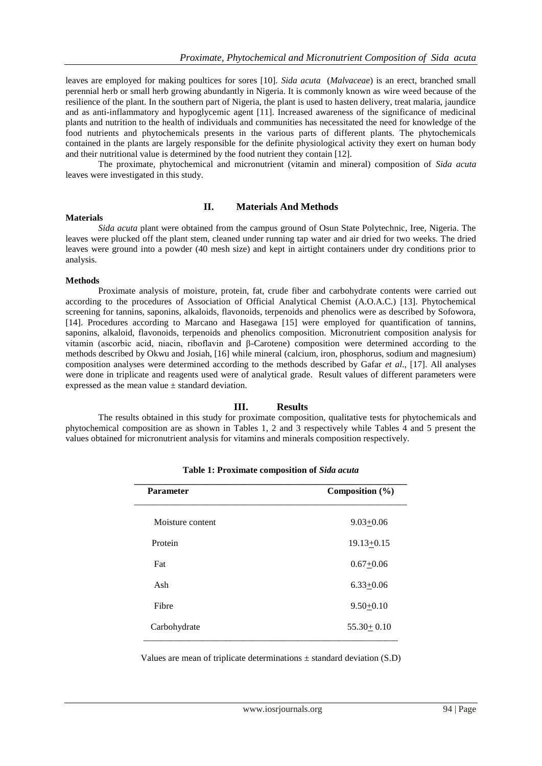leaves are employed for making poultices for sores [10]. *Sida acuta* (*Malvaceae*) is an erect, branched small perennial herb or small herb growing abundantly in Nigeria. It is commonly known as wire weed because of the resilience of the plant. In the southern part of Nigeria, the plant is used to hasten delivery, treat malaria, jaundice and as anti-inflammatory and hypoglycemic agent [11]. Increased awareness of the significance of medicinal plants and nutrition to the health of individuals and communities has necessitated the need for knowledge of the food nutrients and phytochemicals presents in the various parts of different plants. The phytochemicals contained in the plants are largely responsible for the definite physiological activity they exert on human body and their nutritional value is determined by the food nutrient they contain [12].

 The proximate, phytochemical and micronutrient (vitamin and mineral) composition of *Sida acuta* leaves were investigated in this study.

#### **Materials**

# **II. Materials And Methods**

*Sida acuta* plant were obtained from the campus ground of Osun State Polytechnic, Iree, Nigeria. The leaves were plucked off the plant stem, cleaned under running tap water and air dried for two weeks. The dried leaves were ground into a powder (40 mesh size) and kept in airtight containers under dry conditions prior to analysis.

#### **Methods**

Proximate analysis of moisture, protein, fat, crude fiber and carbohydrate contents were carried out according to the procedures of Association of Official Analytical Chemist (A.O.A.C.) [13]. Phytochemical screening for tannins, saponins, alkaloids, flavonoids, terpenoids and phenolics were as described by Sofowora, [14]. Procedures according to Marcano and Hasegawa [15] were employed for quantification of tannins, saponins, alkaloid, flavonoids, terpenoids and phenolics composition. Micronutrient composition analysis for vitamin (ascorbic acid, niacin, riboflavin and β-Carotene) composition were determined according to the methods described by Okwu and Josiah, [16] while mineral (calcium, iron, phosphorus, sodium and magnesium) composition analyses were determined according to the methods described by Gafar *et al*., [17]. All analyses were done in triplicate and reagents used were of analytical grade. Result values of different parameters were expressed as the mean value ± standard deviation.

## **III. Results**

The results obtained in this study for proximate composition, qualitative tests for phytochemicals and phytochemical composition are as shown in Tables 1, 2 and 3 respectively while Tables 4 and 5 present the values obtained for micronutrient analysis for vitamins and minerals composition respectively.

| <b>Parameter</b> | Composition (%)  |  |
|------------------|------------------|--|
| Moisture content | $9.03 + 0.06$    |  |
| Protein          | $19.13 + 0.15$   |  |
| Fat              | $0.67 + 0.06$    |  |
| Ash              | $6.33 + 0.06$    |  |
| Fibre            | $9.50 + 0.10$    |  |
| Carbohydrate     | $55.30 \pm 0.10$ |  |

**Table 1: Proximate composition of** *Sida acuta*

Values are mean of triplicate determinations  $\pm$  standard deviation (S.D)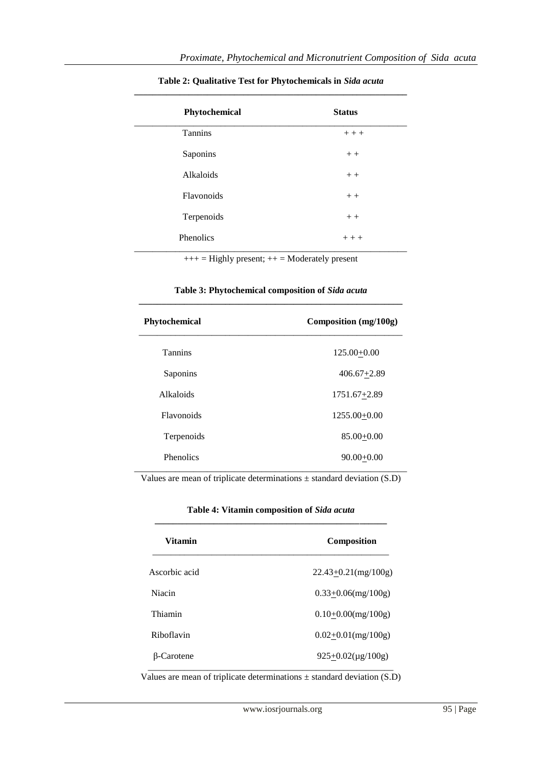| Phytochemical    | <b>Status</b> |
|------------------|---------------|
| <b>Tannins</b>   | $+++$         |
| Saponins         | $++$          |
| Alkaloids        | $++$          |
| Flavonoids       | $+ +$         |
| Terpenoids       | $+ +$         |
| <b>Phenolics</b> | $+++$         |

# **Table 2: Qualitative Test for Phytochemicals in** *Sida acuta* **\_\_\_\_\_\_\_\_\_\_\_\_\_\_\_\_\_\_\_\_\_\_\_\_\_\_\_\_\_\_\_\_\_\_\_\_\_\_\_\_\_\_\_\_\_\_\_\_\_\_\_\_\_\_\_\_\_\_\_\_**

 $+++$  = Highly present;  $++$  = Moderately present

| Table 3: Phytochemical composition of Sida acuta |
|--------------------------------------------------|
|                                                  |

| <b>Phytochemical</b> | Composition (mg/100g) |
|----------------------|-----------------------|
| <b>Tannins</b>       | $125.00+0.00$         |
| Saponins             | $406.67 + 2.89$       |
| Alkaloids            | $1751.67 + 2.89$      |
| <b>Flavonoids</b>    | $1255.00 + 0.00$      |
| Terpenoids           | $85.00 + 0.00$        |
| <b>Phenolics</b>     | $90.00 + 0.00$        |

Values are mean of triplicate determinations  $\pm$  standard deviation (S.D)

|  | Table 4: Vitamin composition of Sida acuta |  |  |
|--|--------------------------------------------|--|--|
|  |                                            |  |  |

| Vitamin           | <b>Composition</b>        |  |
|-------------------|---------------------------|--|
| Ascorbic acid     | $22.43+0.21$ (mg/100g)    |  |
| Niacin            | $0.33+0.06$ (mg/100g)     |  |
| Thiamin           | $0.10+0.00$ (mg/100g)     |  |
| Riboflavin        | $0.02 \pm 0.01$ (mg/100g) |  |
| <b>B-Carotene</b> | $925+0.02(\mu g/100g)$    |  |

Values are mean of triplicate determinations ± standard deviation (S.D)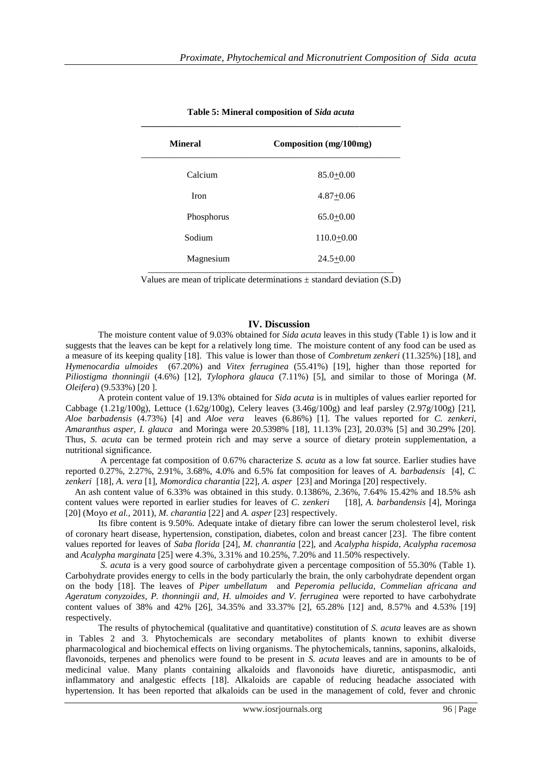| <b>Mineral</b> | Composition (mg/100mg) |
|----------------|------------------------|
| Calcium        | $85.0 + 0.00$          |
| <b>Iron</b>    | $4.87 + 0.06$          |
| Phosphorus     | $65.0 + 0.00$          |
| Sodium         | $110.0 + 0.00$         |
| Magnesium      | $24.5 + 0.00$          |

**Table 5: Mineral composition of** *Sida acuta*

Values are mean of triplicate determinations  $\pm$  standard deviation (S.D)

# **IV. Discussion**

The moisture content value of 9.03% obtained for *Sida acuta* leaves in this study (Table 1) is low and it suggests that the leaves can be kept for a relatively long time. The moisture content of any food can be used as a measure of its keeping quality [18]. This value is lower than those of *Combretum zenkeri* (11.325%) [18], and *Hymenocardia ulmoides* (67.20%) and *Vitex ferruginea* (55.41%) [19], higher than those reported for *Piliostigma thonningii* (4.6%) [12], *Tylophora glauca* (7.11%) [5], and similar to those of Moringa (*M*. *Oleifera*) (9.533%) [20 ].

 A protein content value of 19.13% obtained for *Sida acuta* is in multiples of values earlier reported for Cabbage (1.21g/100g), Lettuce (1.62g/100g), Celery leaves (3.46g/100g) and leaf parsley (2.97g/100g) [21], *Aloe barbadensis* (4.73%) [4] and *Aloe vera* leaves (6.86%) [1]. The values reported for *C. zenkeri, Amaranthus asper, I. glauca* and Moringa were 20.5398% [18], 11.13% [23], 20.03% [5] and 30.29% [20]. Thus, *S. acuta* can be termed protein rich and may serve a source of dietary protein supplementation, a nutritional significance.

 A percentage fat composition of 0.67% characterize *S. acuta* as a low fat source. Earlier studies have reported 0.27%, 2.27%, 2.91%, 3.68%, 4.0% and 6.5% fat composition for leaves of *A. barbadensis* [4], *C. zenkeri* [18], *A. vera* [1], *Momordica charantia* [22], *A. asper* [23] and Moringa [20] respectively.

 An ash content value of 6.33% was obtained in this study. 0.1386%, 2.36%, 7.64% 15.42% and 18.5% ash content values were reported in earlier studies for leaves of *C*. z*enkeri* [18], *A. barbandensis* [4], Moringa [20] (Moyo *et al.,* 2011), *M. charantia* [22] and *A. asper* [23] respectively.

 Its fibre content is 9.50%. Adequate intake of dietary fibre can lower the serum cholesterol level, risk of coronary heart disease, hypertension, constipation, diabetes, colon and breast cancer [23]. The fibre content values reported for leaves of *Saba florida* [24], *M. chanrantia* [22], and *Acalypha hispida, Acalypha racemosa*  and *Acalypha marginata* [25] were 4.3%, 3.31% and 10.25%, 7.20% and 11.50% respectively.

 *S. acuta* is a very good source of carbohydrate given a percentage composition of 55.30% (Table 1). Carbohydrate provides energy to cells in the body particularly the brain, the only carbohydrate dependent organ on the body [18]. The leaves of *Piper umbellatum* and *Peperomia pellucida, Commelian africana and Ageratum conyzoides, P. thonningii and, H. ulmoides and V. ferruginea* were reported to have carbohydrate content values of 38% and 42% [26], 34.35% and 33.37% [2], 65.28% [12] and, 8.57% and 4.53% [19] respectively.

The results of phytochemical (qualitative and quantitative) constitution of *S. acuta* leaves are as shown in Tables 2 and 3. Phytochemicals are secondary metabolites of plants known to exhibit diverse pharmacological and biochemical effects on living organisms. The phytochemicals, tannins, saponins, alkaloids, flavonoids, terpenes and phenolics were found to be present in *S. acuta* leaves and are in amounts to be of medicinal value. Many plants containing alkaloids and flavonoids have diuretic, antispasmodic, anti inflammatory and analgestic effects [18]. Alkaloids are capable of reducing headache associated with hypertension. It has been reported that alkaloids can be used in the management of cold, fever and chronic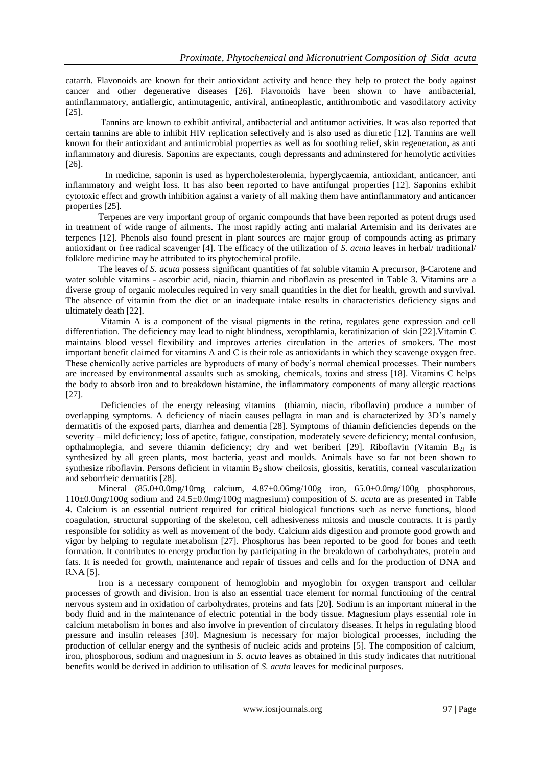catarrh. Flavonoids are known for their antioxidant activity and hence they help to protect the body against cancer and other degenerative diseases [26]. Flavonoids have been shown to have antibacterial, antinflammatory, antiallergic, antimutagenic, antiviral, antineoplastic, antithrombotic and vasodilatory activity [25].

 Tannins are known to exhibit antiviral, antibacterial and antitumor activities. It was also reported that certain tannins are able to inhibit HIV replication selectively and is also used as diuretic [12]. Tannins are well known for their antioxidant and antimicrobial properties as well as for soothing relief, skin regeneration, as anti inflammatory and diuresis. Saponins are expectants, cough depressants and adminstered for hemolytic activities [26].

 In medicine, saponin is used as hypercholesterolemia, hyperglycaemia, antioxidant, anticancer, anti inflammatory and weight loss. It has also been reported to have antifungal properties [12]. Saponins exhibit cytotoxic effect and growth inhibition against a variety of all making them have antinflammatory and anticancer properties [25].

 Terpenes are very important group of organic compounds that have been reported as potent drugs used in treatment of wide range of ailments. The most rapidly acting anti malarial Artemisin and its derivates are terpenes [12]. Phenols also found present in plant sources are major group of compounds acting as primary antioxidant or free radical scavenger [4]. The efficacy of the utilization of *S. acuta* leaves in herbal/ traditional/ folklore medicine may be attributed to its phytochemical profile.

The leaves of *S. acuta* possess significant quantities of fat soluble vitamin A precursor, β-Carotene and water soluble vitamins - ascorbic acid, niacin, thiamin and riboflavin as presented in Table 3. Vitamins are a diverse group of organic molecules required in very small quantities in the diet for health, growth and survival. The absence of vitamin from the diet or an inadequate intake results in characteristics deficiency signs and ultimately death [22].

 Vitamin A is a component of the visual pigments in the retina, regulates gene expression and cell differentiation. The deficiency may lead to night blindness, xeropthlamia, keratinization of skin [22].Vitamin C maintains blood vessel flexibility and improves arteries circulation in the arteries of smokers. The most important benefit claimed for vitamins A and C is their role as antioxidants in which they scavenge oxygen free. These chemically active particles are byproducts of many of body's normal chemical processes. Their numbers are increased by environmental assaults such as smoking, chemicals, toxins and stress [18]. Vitamins C helps the body to absorb iron and to breakdown histamine, the inflammatory components of many allergic reactions [27].

 Deficiencies of the energy releasing vitamins (thiamin, niacin, riboflavin) produce a number of overlapping symptoms. A deficiency of niacin causes pellagra in man and is characterized by 3D's namely dermatitis of the exposed parts, diarrhea and dementia [28]. Symptoms of thiamin deficiencies depends on the severity – mild deficiency; loss of apetite, fatigue, constipation, moderately severe deficiency; mental confusion, opthalmoplegia, and severe thiamin deficiency; dry and wet beriberi [29]. Riboflavin (Vitamin B<sub>2)</sub> is synthesized by all green plants, most bacteria, yeast and moulds. Animals have so far not been shown to synthesize riboflavin. Persons deficient in vitamin  $B_2$  show cheilosis, glossitis, keratitis, corneal vascularization and seborrheic dermatitis [28].

Mineral (85.0±0.0mg/10mg calcium, 4.87±0.06mg/100g iron, 65.0±0.0mg/100g phosphorous, 110±0.0mg/100g sodium and 24.5±0.0mg/100g magnesium) composition of *S. acuta* are as presented in Table 4. Calcium is an essential nutrient required for critical biological functions such as nerve functions, blood coagulation, structural supporting of the skeleton, cell adhesiveness mitosis and muscle contracts. It is partly responsible for solidity as well as movement of the body. Calcium aids digestion and promote good growth and vigor by helping to regulate metabolism [27]. Phosphorus has been reported to be good for bones and teeth formation. It contributes to energy production by participating in the breakdown of carbohydrates, protein and fats. It is needed for growth, maintenance and repair of tissues and cells and for the production of DNA and RNA [5].

 Iron is a necessary component of hemoglobin and myoglobin for oxygen transport and cellular processes of growth and division. Iron is also an essential trace element for normal functioning of the central nervous system and in oxidation of carbohydrates, proteins and fats [20]. Sodium is an important mineral in the body fluid and in the maintenance of electric potential in the body tissue. Magnesium plays essential role in calcium metabolism in bones and also involve in prevention of circulatory diseases. It helps in regulating blood pressure and insulin releases [30]. Magnesium is necessary for major biological processes, including the production of cellular energy and the synthesis of nucleic acids and proteins [5]. The composition of calcium, iron, phosphorous, sodium and magnesium in *S. acuta* leaves as obtained in this study indicates that nutritional benefits would be derived in addition to utilisation of *S. acuta* leaves for medicinal purposes.